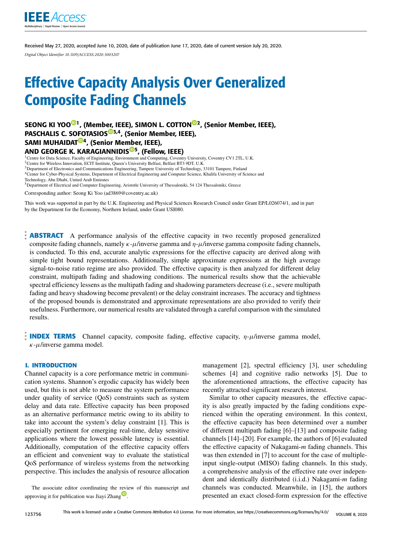

Received May 27, 2020, accepted June 10, 2020, date of publication June 17, 2020, date of current version July 20, 2020. *Digital Object Identifier 10.1109/ACCESS.2020.3003207*

# Effective Capacity Analysis Over Generalized Composite Fading Channels

SE[O](https://orcid.org/0000-0001-5126-5090)NG KI YOO<sup>©1</sup>, (Memb[er,](https://orcid.org/0000-0001-8389-0966) IEEE), SIMO[N](https://orcid.org/0000-0003-2620-6501) L. COTTON<sup>©2</sup>, (Senior Member, IEEE), PASCHALIS C. S[OFO](https://orcid.org/0000-0003-4649-9399)TASIOS<sup>®3,4</sup>, (Senior Member, IEEE), SAMI MUHAIDAT<sup>®4</sup>, (Senior Me[mbe](https://orcid.org/0000-0001-8810-0345)r, IEEE),

# AND GEORGE K. KARAGIANNIDIS<sup>®5</sup>, (Fellow, IEEE)

<sup>1</sup>Centre for Data Science, Faculty of Engineering, Environment and Computing, Coventry University, Coventry CV1 2TL, U.K.

<sup>2</sup>Centre for Wireless Innovation, ECIT Institute, Queen's University Belfast, Belfast BT3 9DT, U.K. <sup>3</sup>Department of Electronics and Communications Engineering, Tampere University of Technology, 33101 Tampere, Finland

<sup>4</sup>Center for Cyber-Physical Systems, Department of Electrical Engineering and Computer Science, Khalifa University of Science and

Technology, Abu Dhabi, United Arab Emirates

<sup>5</sup>Department of Electrical and Computer Engineering, Aristotle University of Thessaloniki, 54 124 Thessaloniki, Greece

Corresponding author: Seong Ki Yoo (ad3869@coventry.ac.uk)

This work was supported in part by the U.K. Engineering and Physical Sciences Research Council under Grant EP/L026074/1, and in part by the Department for the Economy, Northern Ireland, under Grant USI080.

**ABSTRACT** A performance analysis of the effective capacity in two recently proposed generalized composite fading channels, namely  $\kappa - \mu$ /inverse gamma and  $\eta - \mu$ /inverse gamma composite fading channels, is conducted. To this end, accurate analytic expressions for the effective capacity are derived along with simple tight bound representations. Additionally, simple approximate expressions at the high average signal-to-noise ratio regime are also provided. The effective capacity is then analyzed for different delay constraint, multipath fading and shadowing conditions. The numerical results show that the achievable spectral efficiency lessens as the multipath fading and shadowing parameters decrease (i.e., severe multipath fading and heavy shadowing become prevalent) or the delay constraint increases. The accuracy and tightness of the proposed bounds is demonstrated and approximate representations are also provided to verify their usefulness. Furthermore, our numerical results are validated through a careful comparison with the simulated results.

**INDEX TERMS** Channel capacity, composite fading, effective capacity,  $\eta$ - $\mu$ /inverse gamma model,  $\kappa$ - $\mu$ /inverse gamma model.

#### **I. INTRODUCTION**

Channel capacity is a core performance metric in communication systems. Shannon's ergodic capacity has widely been used, but this is not able to measure the system performance under quality of service (QoS) constraints such as system delay and data rate. Effective capacity has been proposed as an alternative performance metric owing to its ability to take into account the system's delay constraint [1]. This is especially pertinent for emerging real-time, delay sensitive applications where the lowest possible latency is essential. Additionally, computation of the effective capacity offers an efficient and convenient way to evaluate the statistical QoS performance of wireless systems from the networking perspective. This includes the analysis of resource allocation

The associate editor coordinating the review of this manuscript and approving it for publication was Jiayi Zhang<sup>10</sup>[.](https://orcid.org/0000-0003-2434-4329)

management [2], spectral efficiency [3], user scheduling schemes [4] and cognitive radio networks [5]. Due to the aforementioned attractions, the effective capacity has recently attracted significant research interest.

Similar to other capacity measures, the effective capacity is also greatly impacted by the fading conditions experienced within the operating environment. In this context, the effective capacity has been determined over a number of different multipath fading [6]–[13] and composite fading channels [14]–[20]. For example, the authors of [6] evaluated the effective capacity of Nakagami-*m* fading channels. This was then extended in [7] to account for the case of multipleinput single-output (MISO) fading channels. In this study, a comprehensive analysis of the effective rate over independent and identically distributed (i.i.d.) Nakagami-*m* fading channels was conducted. Meanwhile, in [15], the authors presented an exact closed-form expression for the effective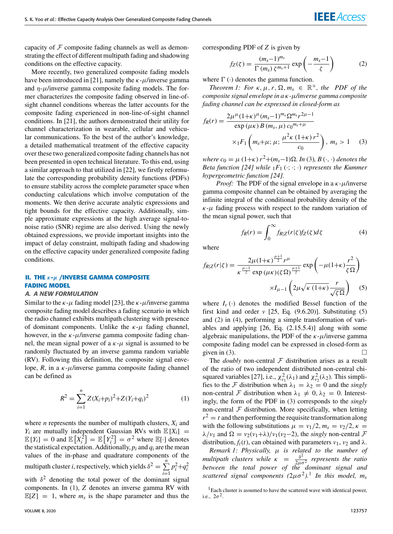capacity of  $F$  composite fading channels as well as demonstrating the effect of different multipath fading and shadowing conditions on the effective capacity.

More recently, two generalized composite fading models have been introduced in [21], namely the  $\kappa$ - $\mu$ /inverse gamma and  $\eta$ - $\mu$ /inverse gamma composite fading models. The former characterizes the composite fading observed in line-ofsight channel conditions whereas the latter accounts for the composite fading experienced in non-line-of-sight channel conditions. In [21], the authors demonstrated their utility for channel characterization in wearable, cellular and vehicular communications. To the best of the author's knowledge, a detailed mathematical treatment of the effective capacity over these two generalized composite fading channels has not been presented in open technical literature. To this end, using a similar approach to that utilized in [22], we firstly reformulate the corresponding probability density functions (PDFs) to ensure stability across the complete parameter space when conducting calculations which involve computation of the moments. We then derive accurate analytic expressions and tight bounds for the effective capacity. Additionally, simple approximate expressions at the high average signal-tonoise ratio (SNR) regime are also derived. Using the newly obtained expressions, we provide important insights into the impact of delay constraint, multipath fading and shadowing on the effective capacity under generalized composite fading conditions.

# **II. THE** κ**-**µ **/INVERSE GAMMA COMPOSITE FADING MODEL**

## A. A NEW FORMULATION

Similar to the  $\kappa$ - $\mu$  fading model [23], the  $\kappa$ - $\mu$ /inverse gamma composite fading model describes a fading scenario in which the radio channel exhibits multipath clustering with presence of dominant components. Unlike the  $\kappa$ - $\mu$  fading channel, however, in the  $\kappa$ - $\mu$ /inverse gamma composite fading channel, the mean signal power of a  $\kappa$ - $\mu$  signal is assumed to be randomly fluctuated by an inverse gamma random variable (RV). Following this definition, the composite signal envelope,  $R$ , in a  $\kappa$ - $\mu$ /inverse gamma composite fading channel can be defined as

<span id="page-1-0"></span>
$$
R^{2} = \sum_{i=1}^{n} Z(X_{i} + p_{i})^{2} + Z(Y_{i} + q_{i})^{2}
$$
 (1)

where *n* represents the number of multipath clusters,  $X_i$  and  $Y_i$  are mutually independent Gaussian RVs with  $\mathbb{E}[X_i] =$  $\mathbb{E}[Y_i] = 0$  and  $\mathbb{E}[X_i^{\bar{2}}] = \mathbb{E}[Y_i^2] = \sigma^2$  where  $\mathbb{E}[\cdot]$  denotes the statistical expectation. Additionally,  $p_i$  and  $q_i$  are the mean values of the in-phase and quadrature components of the multipath cluster *i*, respectively, which yields  $\delta^2 = \sum_{n=1}^{n}$ *i*=1  $p_i^2 + q_i^2$ with  $\delta^2$  denoting the total power of the dominant signal components. In [\(1\)](#page-1-0), *Z* denotes an inverse gamma RV with  $\mathbb{E}[Z] = 1$ , where  $m_s$  is the shape parameter and thus the

corresponding PDF of *Z* is given by

<span id="page-1-3"></span>
$$
f_Z(\zeta) = \frac{(m_s - 1)^{m_s}}{\Gamma(m_s) \zeta^{m_s + 1}} \exp\left(-\frac{m_s - 1}{\zeta}\right) \tag{2}
$$

where  $\Gamma(\cdot)$  denotes the gamma function.

*Theorem 1: For*  $\kappa$ ,  $\mu$ ,  $r$ ,  $\Omega$ ,  $m_s \in \mathbb{R}^+$ , the PDF of the *composite signal envelope in a* κ*-*µ*/inverse gamma composite fading channel can be expressed in closed-form as*

<span id="page-1-1"></span>
$$
f_R(r) = \frac{2\mu^{\mu}(1+\kappa)^{\mu}(m_s-1)^{m_s} \Omega^{m_s} r^{2\mu-1}}{\exp(\mu\kappa) B(m_s, \mu) c_0^{m_s+\mu}} \times {}_{1}F_1\left(m_s+\mu; \mu; \frac{\mu^2 \kappa(1+\kappa) r^2}{c_0}\right), m_s > 1 \quad (3)
$$

 $where c<sub>0</sub> = μ (1+κ) r<sup>2</sup> + (m<sub>s</sub>−1)Ω. In (3), B (·, ·) denotes the$  $where c<sub>0</sub> = μ (1+κ) r<sup>2</sup> + (m<sub>s</sub>−1)Ω. In (3), B (·, ·) denotes the$  $where c<sub>0</sub> = μ (1+κ) r<sup>2</sup> + (m<sub>s</sub>−1)Ω. In (3), B (·, ·) denotes the$ *Beta function [24] while*  $_1F_1$  ( $\cdot$ ;  $\cdot$ ;  $\cdot$ ) *represents the Kummer hypergeometric function [24].*

*Proof:* The PDF of the signal envelope in a  $\kappa$ - $\mu$ /inverse gamma composite channel can be obtained by averaging the infinite integral of the conditional probability density of the  $\kappa$ - $\mu$  fading process with respect to the random variation of the mean signal power, such that

<span id="page-1-4"></span>
$$
f_R(r) = \int_0^\infty f_{R|Z}(r|\zeta) f_Z(\zeta) d\zeta \tag{4}
$$

where

<span id="page-1-2"></span>
$$
f_{R|Z}(r|\zeta) = \frac{2\mu(1+\kappa)^{\frac{\mu+1}{2}}r^{\mu}}{\kappa^{\frac{\mu-1}{2}}\exp(\mu\kappa)(\zeta\Omega)^{\frac{\mu+1}{2}}} \exp\left(-\mu(1+\kappa)\frac{r^2}{\zeta\Omega}\right)
$$

$$
\times I_{\mu-1}\left(2\mu\sqrt{\kappa(1+\kappa)}\frac{r}{\sqrt{\zeta\Omega}}\right) \quad (5)
$$

where  $I_v(\cdot)$  denotes the modified Bessel function of the first kind and order  $v$  [25, Eq.  $(9.6.20)$ ]. Substituting  $(5)$ and [\(2\)](#page-1-3) in [\(4\)](#page-1-4), performing a simple transformation of variables and applying [26, Eq. (2.15.5.4)] along with some algebraic manipulations, the PDF of the  $\kappa$ - $\mu$ /inverse gamma composite fading model can be expressed in closed-form as given in [\(3\)](#page-1-1).

The *doubly* non-central  $F$  distribution arises as a result of the ratio of two independent distributed non-central chisquared variables [27], i.e.,  $\chi^2_{\nu_1}(\lambda_1)$  and  $\chi^2_{\nu_2}(\lambda_2)$ . This simplifies to the F distribution when  $\lambda_1 = \lambda_2 = 0$  and the *singly* non-central F distribution when  $\lambda_1 \neq 0, \lambda_2 = 0$ . Interestingly, the form of the PDF in [\(3\)](#page-1-1) corresponds to the *singly* non-central  $F$  distribution. More specifically, when letting  $r^2 = t$  and then performing the requisite transformation along with the following substitutions  $\mu = v_1/2, m_s = v_2/2, \kappa =$  $\lambda/\nu_1$  and  $\Omega = \nu_2(\nu_1 + \lambda)/\nu_1(\nu_2 - 2)$ , the *singly* non-central  $\mathcal F$ distribution,  $f_t(t)$ , can obtained with parameters  $v_1$ ,  $v_2$  and  $\lambda$ .

*Remark 1: Physically,* µ *is related to the number of multipath clusters while*  $\kappa = \frac{\delta^2}{2\mu}$  $\frac{\partial^2}{\partial \mu \sigma^2}$  represents the ratio *between the total power of the dominant signal and scattered signal components (*2µσ<sup>2</sup> *).*[1](#page-1-5) *In this model, m<sup>s</sup>*

<span id="page-1-5"></span><sup>&</sup>lt;sup>1</sup>Each cluster is assumed to have the scattered wave with identical power, i.e.,  $2\sigma^2$ .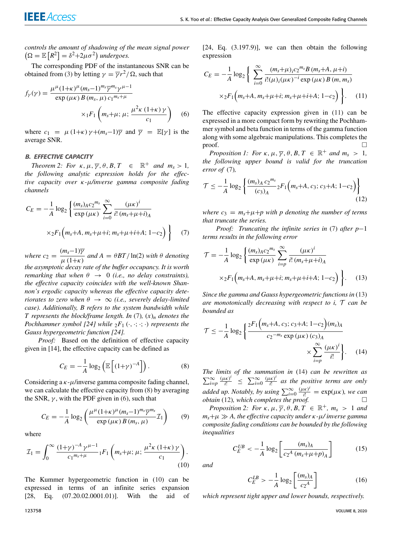*controls the amount of shadowing of the mean signal power*  $(\Omega = \mathbb{E}[R^2] = \delta^2 + 2\mu\sigma^2)$  *undergoes.* 

The corresponding PDF of the instantaneous SNR can be obtained from [\(3\)](#page-1-1) by letting  $\gamma = \overline{\gamma}r^2/\Omega$ , such that

<span id="page-2-2"></span>
$$
f_{\gamma}(\gamma) = \frac{\mu^{\mu} (1+\kappa)^{\mu} (m_s - 1)^{m_s} \overline{\gamma}^{m_s} \gamma^{\mu - 1}}{\exp (\mu \kappa) B(m_s, \mu) c_1^{m_s + \mu}} \times {}_{1}F_{1}\left(m_s + \mu; \mu; \frac{\mu^2 \kappa (1+\kappa)}{c_1}\right) \quad (6)
$$

where  $c_1 = \mu(1+\kappa) \gamma + (m_s-1)\overline{\gamma}$  and  $\overline{\gamma} = \mathbb{E}[\gamma]$  is the average SNR.

### B. EFFECTIVE CAPACITY

*Theorem 2: For*  $\kappa$ ,  $\mu$ ,  $\overline{\gamma}$ ,  $\theta$ ,  $B$ ,  $T \in \mathbb{R}^+$  and  $m_s > 1$ , *the following analytic expression holds for the effective capacity over* κ*-*µ*/inverse gamma composite fading channels*

<span id="page-2-0"></span>
$$
C_E = -\frac{1}{A} \log_2 \left\{ \frac{(m_s)_A c_2^{m_s}}{\exp (\mu \kappa)} \sum_{i=0}^{\infty} \frac{(\mu \kappa)^i}{i! (m_s + \mu + i)_A} \times {}_2F_1 \left( m_s + A, m_s + \mu + i; m_s + \mu + i + A; 1 - c_2 \right) \right\}
$$
(7)

*where*  $c_2 = \frac{(m_s-1)\overline{\gamma}}{(1+\overline{\gamma})^2}$  $\frac{m_s}{\mu} \frac{1}{1+\kappa}$  and  $A = \theta BT / \ln(2)$  with  $\theta$  denoting *the asymptotic decay rate of the buffer occupancy. It is worth remarking that when*  $\theta \rightarrow 0$  *(i.e., no delay constraints), the effective capacity coincides with the well-known Shannon's ergodic capacity whereas the effective capacity deteriorates to zero when*  $\theta \rightarrow \infty$  *(i.e., severely delay-limited case). Additionally, B refers to the system bandwidth while T represents the block/frame length. In* [\(7\)](#page-2-0)*,* (*x*)*<sup>n</sup> denotes the Pochhammer symbol* [24] while  $_2F_1$  ( $\cdot$ ,  $\cdot$ ;  $\cdot$ ) *represents the Gauss hypergeometric function [24].*

*Proof:* Based on the definition of effective capacity given in [14], the effective capacity can be defined as

<span id="page-2-1"></span>
$$
C_E = -\frac{1}{A} \log_2 \left( \mathbb{E} \left[ (1+\gamma)^{-A} \right] \right). \tag{8}
$$

Considering a  $\kappa$ - $\mu$ /inverse gamma composite fading channel, we can calculate the effective capacity from [\(8\)](#page-2-1) by averaging the SNR,  $\nu$ , with the PDF given in [\(6\)](#page-2-2), such that

$$
C_E = -\frac{1}{A} \log_2 \left( \frac{\mu^{\mu} (1+\kappa)^{\mu} (m_s - 1)^{m_s} \overline{\gamma}^{m_s}}{\exp (\mu \kappa) B (m_s, \mu)} \mathcal{I}_1 \right) \tag{9}
$$

where

<span id="page-2-3"></span>
$$
\mathcal{I}_1 = \int_0^\infty \frac{(1+\gamma)^{-A} \gamma^{\mu-1}}{c_1^{m_s+\mu}} {}_1F_1\left(m_s+\mu;\,\mu;\,\frac{\mu^2 \kappa (1+\kappa)\gamma}{c_1}\right). \tag{10}
$$

The Kummer hypergeometric function in [\(10\)](#page-2-3) can be expressed in terms of an infinite series expansion [28, Eq. (07.20.02.0001.01)]. With the aid of

 $[24, Eq. (3.197.9)], we can then obtain the following.$ expression

<span id="page-2-4"></span>
$$
C_E = -\frac{1}{A} \log_2 \left\{ \sum_{i=0}^{\infty} \frac{(m_s + \mu)_{i} c_2^{m_s} B(m_s + A, \mu + i)}{i! (\mu)_{i} (\mu \kappa)^{-i} \exp(\mu \kappa) B(m, m_s)} \right. \times {}_2F_1 \left( m_s + A, m_s + \mu + i; m_s + \mu + i + A; 1 - c_2 \right) \left.\right\}.
$$
 (11)

The effective capacity expression given in [\(11\)](#page-2-4) can be expressed in a more compact form by rewriting the Pochhammer symbol and beta function in terms of the gamma function along with some algebraic manipulations. This completes the  $\Box$ 

*Proposition 1: For*  $\kappa$ ,  $\mu$ ,  $\overline{\gamma}$ ,  $\theta$ ,  $B$ ,  $T \in \mathbb{R}^+$  and  $m_s > 1$ , *the following upper bound is valid for the truncation error of* [\(7\)](#page-2-0)*,*

<span id="page-2-7"></span>
$$
\mathcal{T} \le -\frac{1}{A} \log_2 \left\{ \frac{(m_s)_A c_2^{m_s}}{(c_3)_A} {}_2F_1(m_s + A, c_3; c_3 + A; 1 - c_2) \right\}
$$
(12)

*where*  $c_3 = m_s + \mu + p$  *with p* denoting the number of terms *that truncate the series.*

*Proof: Truncating the infinite series in* [\(7\)](#page-2-0) *after p*−1 *terms results in the following error*

<span id="page-2-5"></span>
$$
\mathcal{T} = -\frac{1}{A} \log_2 \left\{ \frac{(m_s)_A c_2^{m_s}}{\exp(\mu \kappa)} \sum_{i=p}^{\infty} \frac{(\mu \kappa)^i}{i! (m_s + \mu + i)_A} \times {}_2F_1 \left( m_s + A, m_s + \mu + i; m_s + \mu + i + A; 1 - c_2 \right) \right\}.
$$
 (13)

*Since the gamma and Gauss hypergeometric functions in* [\(13\)](#page-2-5) *are monotonically decreasing with respect to i,* T *can be bounded as*

<span id="page-2-6"></span>
$$
\mathcal{T} \le -\frac{1}{A} \log_2 \left\{ \frac{2^{F_1} \left( m_s + A, c_3; c_3 + A; 1 - c_2 \right) (m_s)_A}{c_2^{-m_s} \exp \left( \mu \kappa \right) (c_3)_A} \times \sum_{i=p}^{\infty} \frac{\left( \mu \kappa \right)^i}{i!} \right\}.
$$
 (14)

*The limits of the summation in* [\(14\)](#page-2-6) *can be rewritten as*  $\sum_{i=p}^{\infty} \frac{(\mu \kappa)^i}{i!} \leq \sum_{i=0}^{\infty} \frac{(\mu \kappa)^i}{i!}$ *i*! *as the positive terms are only added up. Notably, by using*  $\sum_{i=0}^{\infty} \frac{(\mu \kappa)^i}{i!} = \exp(\mu \kappa)$ *, we can obtain* [\(12\)](#page-2-7)*, which completes the proof.*

*Proposition 2: For*  $\kappa$ ,  $\mu$ ,  $\overline{\gamma}$ ,  $\theta$ ,  $\overline{B}$ ,  $\overline{T} \in \mathbb{R}^+$ ,  $m_s > 1$  and *ms*+µ *A, the effective capacity under* κ*-*µ*/ inverse gamma composite fading conditions can be bounded by the following inequalities*

<span id="page-2-8"></span>
$$
C_E^{UB} < -\frac{1}{A} \log_2 \left[ \frac{(m_s)_A}{c_2^A \left( m_s + \mu + p \right)_A} \right] \tag{15}
$$

*and*

<span id="page-2-9"></span>
$$
C_E^{LB} > -\frac{1}{A} \log_2 \left[ \frac{(m_s)_A}{c_2^A} \right] \tag{16}
$$

*which represent tight upper and lower bounds, respectively.*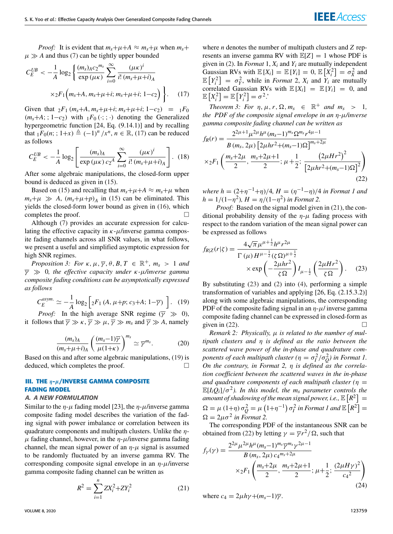*Proof:* It is evident that  $m_s + \mu + A \approx m_s + \mu$  when  $m_s +$  $\mu \gg A$  and thus [\(7\)](#page-2-0) can be tightly upper bounded

<span id="page-3-0"></span>
$$
C_{E}^{UB} < -\frac{1}{A} \log_{2} \left\{ \frac{(m_{s})_{A} c_{2}^{m_{s}}}{\exp\left(\mu \kappa\right)} \sum_{i=0}^{\infty} \frac{(\mu \kappa)^{i}}{i! \left(m_{s} + \mu + i\right)_{A}} \times {}_{2}F_{1}\left(m_{s} + A, m_{s} + \mu + i; m_{s} + \mu + i; 1 - c_{2}\right) \right\}.
$$
 (17)

Given that  ${}_2F_1(m_s+A, m_s+\mu+i; m_s+\mu+i; 1-c_2) = {}_1F_0$  $(m_s + A; ; 1 - c_2)$  with  $_1F_0$  ( $\cdot;$  ; ·) denoting the Generalized hypergeometric function [24, Eq. (9.14.1)] and by recalling that  ${}_1F_0(n; ; 1+x) \triangleq (-1)^n / x^n, n \in \mathbb{R}, (17)$  ${}_1F_0(n; ; 1+x) \triangleq (-1)^n / x^n, n \in \mathbb{R}, (17)$  can be reduced as follows

$$
C_E^{UB} < -\frac{1}{A} \log_2 \left[ \frac{(m_s)_A}{\exp\left(\mu \kappa\right) c_2^A} \sum_{i=0}^{\infty} \frac{\left(\mu \kappa\right)^i}{i! \left(m_s + \mu + i\right)_A} \right]. \tag{18}
$$

After some algebraic manipulations, the closed-form upper bound is deduced as given in [\(15\)](#page-2-8).

Based on [\(15\)](#page-2-8) and recalling that  $m_s + \mu + A \approx m_s + \mu$  when  $m_s + \mu \gg A$ ,  $(m_s + \mu + p)$ <sup>*A*</sup> in [\(15\)](#page-2-8) can be eliminated. This yields the closed-form lower bound as given in [\(16\)](#page-2-9), which completes the proof.

Although [\(7\)](#page-2-0) provides an accurate expression for calculating the effective capacity in  $\kappa$ - $\mu$ /inverse gamma composite fading channels across all SNR values, in what follows, we present a useful and simplified asymptotic expression for high SNR regimes.

*Proposition 3: For*  $\kappa$ ,  $\mu$ ,  $\overline{\gamma}$ ,  $\theta$ ,  $B$ ,  $T \in \mathbb{R}^+$ ,  $m_s > 1$  and γ 0*, the effective capacity under* κ*-*µ*/inverse gamma composite fading conditions can be asymptotically expressed as follows*

<span id="page-3-1"></span>
$$
C_E^{asym.} \simeq -\frac{1}{A} \log_2 \left[ 2F_1 \left( A, \mu + p; c_3 + A; 1 - \overline{\gamma} \right) \right]. \tag{19}
$$

*Proof:* In the high average SNR regime ( $\overline{\gamma} \gg 0$ ), it follows that  $\overline{\gamma} \gg \kappa$ ,  $\overline{\gamma} \gg \mu$ ,  $\overline{\gamma} \gg m_s$  and  $\overline{\gamma} \gg A$ , namely

$$
\frac{(m_s)_A}{(m_s + \mu + i)_A} \left(\frac{(m_s - 1)\overline{\gamma}}{\mu(1 + \kappa)}\right)^{m_s} \simeq \overline{\gamma}^{m_s}.
$$
 (20)

Based on this and after some algebraic manipulations, [\(19\)](#page-3-1) is deduced, which completes the proof.

# **III. THE** η**-**µ**/INVERSE GAMMA COMPOSITE FADING MODEL**

## A. A NEW FORMULATION

Similar to the  $\eta$ - $\mu$  fading model [23], the  $\eta$ - $\mu$ /inverse gamma composite fading model describes the variation of the fading signal with power imbalance or correlation between its quadrature components and multipath clusters. Unlike the  $\eta$ - $\mu$  fading channel, however, in the  $\eta$ - $\mu$ /inverse gamma fading channel, the mean signal power of an  $\eta$ - $\mu$  signal is assumed to be randomly fluctuated by an inverse gamma RV. The corresponding composite signal envelope in an  $\eta$ - $\mu$ /inverse gamma composite fading channel can be written as

<span id="page-3-2"></span>
$$
R^2 = \sum_{i=1}^{n} Z X_i^2 + Z Y_i^2
$$
 (21)

where *n* denotes the number of multipath clusters and *Z* represents an inverse gamma RV with  $\mathbb{E}[Z] = 1$  whose PDF is given in [\(2\)](#page-1-3). In *Format* 1,  $X_i$  and  $Y_i$  are mutually independent Gaussian RVs with  $\mathbb{E}[X_i] = \mathbb{E}[Y_i] = 0$ ,  $\mathbb{E}[X_i^2] = \sigma_X^2$  and  $\mathbb{E}\left[Y_i^2\right] = \sigma_Y^2$ , while in *Format* 2,  $X_i$  and  $Y_i$  are mutually correlated Gaussian RVs with  $\mathbb{E}[X_i] = \mathbb{E}[Y_i] = 0$ , and  $\mathbb{E}\left[X_i^2\right] = \mathbb{E}\left[Y_i^2\right] = \sigma^2$ .

*Theorem 3: For*  $\eta$ ,  $\mu$ ,  $r$ ,  $\Omega$ ,  $m_s \in \mathbb{R}^+$  and  $m_s > 1$ , *the PDF of the composite signal envelope in an* η*-*µ*/inverse gamma composite fading channel can be written as*

<span id="page-3-4"></span>
$$
f_R(r) = \frac{2^{2\mu+1} \mu^{2\mu} h^{\mu} (m_s - 1)^{m_s} \Omega^{m_s} r^{4\mu - 1}}{B(m_s, 2\mu) \left[ 2\mu h r^2 + (m_s - 1)\Omega \right]^{m_s + 2\mu}}
$$
  
×<sub>2</sub>F<sub>1</sub>  $\left( \frac{m_s + 2\mu}{2}, \frac{m_s + 2\mu + 1}{2}; \mu + \frac{1}{2}; \frac{(2\mu h r^2 + (m_s - 1)\Omega)^2}{\left[ 2\mu h r^2 + (m_s - 1)\Omega \right]^2} \right)$  (22)

*where h* =  $(2+\eta^{-1}+\eta)/4$ *, H* =  $(\eta^{-1}-\eta)/4$  *in Format 1 and*  $h = 1/(1 - \eta^2)$ ,  $H = \eta/(1 - \eta^2)$  *in Format* 2.

*Proof:* Based on the signal model given in [\(21\)](#page-3-2), the conditional probability density of the  $\eta$ - $\mu$  fading process with respect to the random variation of the mean signal power can be expressed as follows

<span id="page-3-3"></span>
$$
f_{R|Z}(r|\zeta) = \frac{4\sqrt{\pi}\mu^{\mu+\frac{1}{2}}h^{\mu}r^{2\mu}}{\Gamma(\mu)H^{\mu-\frac{1}{2}}(\zeta\Omega)^{\mu+\frac{1}{2}}} \times \exp\left(-\frac{2\mu hr^2}{\zeta\Omega}\right)I_{\mu-\frac{1}{2}}\left(\frac{2\mu Hr^2}{\zeta\Omega}\right). \quad (23)
$$

By substituting [\(23\)](#page-3-3) and [\(2\)](#page-1-3) into [\(4\)](#page-1-4), performing a simple transformation of variables and applying [26, Eq. (2.15.3.2)] along with some algebraic manipulations, the corresponding PDF of the composite fading signal in an  $\eta$ - $\mu$ / inverse gamma composite fading channel can be expressed in closed-form as given in  $(22)$ .

*Remark 2: Physically, μ is related to the number of multipath clusters and* η *is defined as the ratio between the scattered wave power of the in-phase and quadrature components of each multipath cluster* ( $\eta = \sigma_I^2/\sigma_Q^2$ ) in Format 1. *On the contrary, in Format 2,* η *is defined as the correlation coefficient between the scattered waves in the in-phase and quadrature components of each multipath cluster (*η =  $\mathbb{E}[I_i\overline{Q}_i]/\sigma^2$ ). In this model, the m<sub>*s*</sub> parameter controls the amount of shadowing of the mean signal power, i.e.,  $\mathbb{E}\left[R^2\right]=1$  $\Omega = \mu(1+\eta)\sigma_Q^2 = \mu(1+\eta^{-1})\sigma_I^2$  in Format 1 and  $\mathbb{E}\left[R^2\right] =$  $\Omega = 2\mu\sigma^2$  in Format 2.

The corresponding PDF of the instantaneous SNR can be obtained from [\(22\)](#page-3-4) by letting  $\gamma = \overline{\gamma}r^2/\Omega$ , such that

<span id="page-3-5"></span>
$$
f_{\gamma}(\gamma) = \frac{2^{2\mu} \mu^{2\mu} h^{\mu} (m_s - 1)^{m_s} \overline{\gamma}^{m_s} \gamma^{2\mu - 1}}{B(m_s, 2\mu) c_4^{m_s + 2\mu}} \times {}_{2}F_{1}\left(\frac{m_s + 2\mu}{2}, \frac{m_s + 2\mu + 1}{2}; \mu + \frac{1}{2}; \frac{(2\mu H \gamma)^2}{c_4^2}\right)
$$
\n(24)

where  $c_4 = 2\mu h\gamma + (m_s - 1)\overline{\gamma}$ .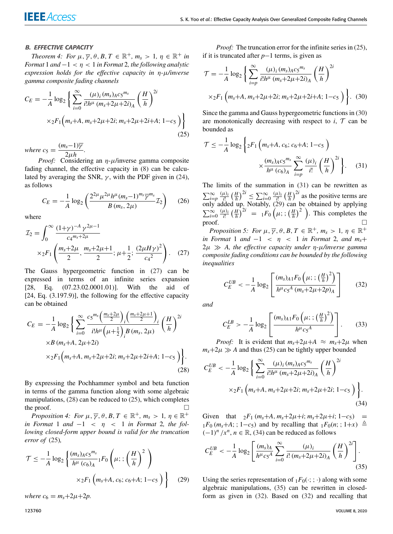## B. EFFECTIVE CAPACITY

*Theorem 4: For*  $\mu$ ,  $\overline{\gamma}$ ,  $\theta$ ,  $B$ ,  $T \in \mathbb{R}^+$ ,  $m_s > 1$ ,  $\eta \in \mathbb{R}^+$  in *Format* 1 *and* −1 < η < 1 *in Format* 2*, the following analytic expression holds for the effective capacity in* η*-*µ*/inverse gamma composite fading channels*

<span id="page-4-2"></span>
$$
C_E = -\frac{1}{A} \log_2 \left\{ \sum_{i=0}^{\infty} \frac{(\mu)_i (m_s)_A c_5^{m_s}}{i! h^{\mu} (m_s + 2\mu + 2i)_A} \left( \frac{H}{h} \right)^{2i} \times {}_{2}F_1 \left( m_s + A, m_s + 2\mu + 2i; m_s + 2\mu + 2i + A; 1 - c_5 \right) \right\}
$$
(25)

*where*  $c_5 = \frac{(m_s-1)\overline{\gamma}}{2\mu}$  $\frac{3}{2\mu h}$ .

*Proof:* Considering an  $\eta$ - $\mu$ /inverse gamma composite fading channel, the effective capacity in [\(8\)](#page-2-1) can be calculated by averaging the SNR,  $\gamma$ , with the PDF given in [\(24\)](#page-3-5), as follows

$$
C_E = -\frac{1}{A} \log_2 \left( \frac{2^{2\mu} \mu^{2\mu} h^{\mu} (m_s - 1)^{m_s} \overline{\gamma}^{m_s}}{B(m_s, 2\mu)} \mathcal{I}_2 \right) \tag{26}
$$

where

<span id="page-4-0"></span>
$$
\mathcal{I}_2 = \int_0^\infty \frac{(1+\gamma)^{-A} \gamma^{2\mu-1}}{c_4^{m_s+2\mu}} \times {}_2F_1\left(\frac{m_s+2\mu}{2}, \frac{m_s+2\mu+1}{2}; \mu+\frac{1}{2}; \frac{(2\mu H\gamma)^2}{c_4^2}\right). \quad (27)
$$

The Gauss hypergeometric function in [\(27\)](#page-4-0) can be expressed in terms of an infinite series expansion [28, Eq. (07.23.02.0001.01)]. With the aid of [24, Eq.  $(3.197.9)$ ], the following for the effective capacity can be obtained

<span id="page-4-1"></span>
$$
C_E = -\frac{1}{A} \log_2 \left\{ \sum_{i=0}^{\infty} \frac{c_5^{m_s} \left(\frac{m_s + 2\mu}{2}\right)_i \left(\frac{m_s + 2\mu + 1}{2}\right)_i}{i!h^{\mu} \left(\mu + \frac{1}{2}\right)_i B(m_s, 2\mu)} \left(\frac{H}{h}\right)^{2i} \right. \times B(m_s + A, 2\mu + 2i)
$$
  
×2F<sub>1</sub> $\left(m_s + A, m_s + 2\mu + 2i; m_s + 2\mu + 2i + A; 1 - c_5\right) \left.\right\}.$   
(28)

By expressing the Pochhammer symbol and beta function in terms of the gamma function along with some algebraic manipulations, [\(28\)](#page-4-1) can be reduced to [\(25\)](#page-4-2), which completes the proof.

*Proposition 4: For*  $\mu$ ,  $\overline{\gamma}$ ,  $\theta$ ,  $B$ ,  $T \in \mathbb{R}^+$ ,  $m_s > 1$ ,  $\eta \in \mathbb{R}^+$ *in Format* 1 *and* −1 < η < 1 *in Format* 2*, the following closed-form upper bound is valid for the truncation error of* [\(25\)](#page-4-2)*,*

<span id="page-4-5"></span>
$$
\mathcal{T} \le -\frac{1}{A} \log_2 \left\{ \frac{(m_s)_{A} c_5^{m_s}}{h^{\mu} (c_6)_A} {}_1F_0\left(\mu; \frac{H}{h}\right)^2 \right\}
$$

$$
\times {}_2F_1\left(m_s + A, c_6; c_6 + A; 1 - c_5 \right) \right\}
$$
(29)

*where*  $c_6 = m_s + 2\mu + 2p$ .

*Proof:* The truncation error for the infinite series in [\(25\)](#page-4-2), if it is truncated after *p*−1 terms, is given as

<span id="page-4-3"></span>
$$
\mathcal{T} = -\frac{1}{A} \log_2 \left\{ \sum_{i=p}^{\infty} \frac{(\mu)_i (m_s)_A c_5^{m_s}}{i! h^{\mu} (m_s + 2\mu + 2i)_A} \left( \frac{H}{h} \right)^{2i} \right. \\ \times {}_2F_1 \left( m_s + A, m_s + 2\mu + 2i; m_s + 2\mu + 2i + A; 1 - c_5 \right) \bigg\} . \tag{30}
$$

Since the gamma and Gauss hypergeometric functions in [\(30\)](#page-4-3) are monotonically decreasing with respect to  $i$ ,  $T$  can be bounded as

<span id="page-4-4"></span>
$$
\mathcal{T} \le -\frac{1}{A} \log_2 \left\{ 2F_1 \left( m_s + A, c_6; c_6 + A; 1 - c_5 \right) \right\}
$$

$$
\times \frac{(m_s)_{A} c_5^{m_s}}{h^{\mu} (c_6)_A} \sum_{i=p}^{\infty} \frac{(\mu)_i}{i!} \left( \frac{H}{h} \right)^{2i} \right\}.
$$
 (31)

The limits of the summation in [\(31\)](#page-4-4) can be rewritten as  $\sum_{i=p}^{\infty} \frac{(\mu)_i}{i!} \left(\frac{H}{h}\right)^{2i} \le \sum_{i=0}^{\infty} \frac{(\mu)_i}{i!} \left(\frac{H}{h}\right)^{2i}$  as the positive terms are only added up. Notably, [\(29\)](#page-4-5) can be obtained by applying  $\sum_{i=0}^{\infty} \frac{(\mu)_i}{i!} \left(\frac{H}{h}\right)^{2i} = 1F_0\left(\mu; \frac{H}{h}\right)^2$ . This completes the proof.  $\Box$ 

*Proposition 5: For*  $\mu$ ,  $\overline{\gamma}$ ,  $\theta$ ,  $B$ ,  $T \in \mathbb{R}^+$ ,  $m_s > 1$ ,  $\eta \in \mathbb{R}^+$ *in Format* 1 *and* −1 < η < 1 *in Format* 2*, and ms*+ 2µ *A, the effective capacity under* η*-*µ*/inverse gamma composite fading conditions can be bounded by the following inequalities*

<span id="page-4-8"></span>
$$
C_{E}^{UB} < -\frac{1}{A} \log_2 \left[ \frac{(m_s)_{A1} F_0 \left( \mu; \, ; \, \left( \frac{H}{h} \right)^2 \right)}{h^{\mu} c_5^A \left( m_s + 2\mu + 2p \right)_A} \right] \tag{32}
$$

*and*

<span id="page-4-9"></span>
$$
C_E^{LB} > -\frac{1}{A} \log_2 \left[ \frac{(m_s)_{A1} F_0 \left( \mu; \, ; \, \left( \frac{H}{h} \right)^2 \right)}{h^{\mu} c_5^A} \right]. \tag{33}
$$

*Proof:* It is evident that  $m_s + 2\mu + A \approx m_s + 2\mu$  when  $m_s + 2\mu \gg A$  and thus [\(25\)](#page-4-2) can be tightly upper bounded

<span id="page-4-6"></span>
$$
C_{E}^{UB} < -\frac{1}{A} \log_{2} \left\{ \sum_{i=0}^{\infty} \frac{(\mu)_{i} (m_{s})_{A} c_{5}^{m_{s}}}{i! h^{\mu} (m_{s} + 2\mu + 2i)_{A}} \left( \frac{H}{h} \right)^{2i} \right. \\ &\times {}_{2}F_{1} \left( m_{s} + A, m_{s} + 2\mu + 2i; m_{s} + 2\mu + 2i; 1 - c_{5} \right) \right\}.
$$
\n(34)

Given that  ${}_{2}F_1(m_s+A, m_s+2\mu+i; m_s+2\mu+i; 1-c_5) =$  $1F_0$  ( $m_s+A$ ; ; 1– $c_5$ ) and by recalling that  $1F_0(n; 1+x) \triangleq$  $(-1)^n / x^n$ ,  $n \in \mathbb{R}$ , [\(34\)](#page-4-6) can be reduced as follows

<span id="page-4-7"></span>
$$
C_{E}^{UB} < -\frac{1}{A} \log_{2} \left[ \frac{(m_{s})_{A}}{h^{\mu} c_{5}^{A}} \sum_{i=0}^{\infty} \frac{(\mu)_{i}}{i! \left( m_{s} + 2\mu + 2i \right)_{A}} \left( \frac{H}{h} \right)^{2i} \right].
$$
\n(35)

Using the series representation of  $_1F_0(\cdot; \cdot)$  along with some algebraic manipulations, [\(35\)](#page-4-7) can be rewritten in closedform as given in [\(32\)](#page-4-8). Based on [\(32\)](#page-4-8) and recalling that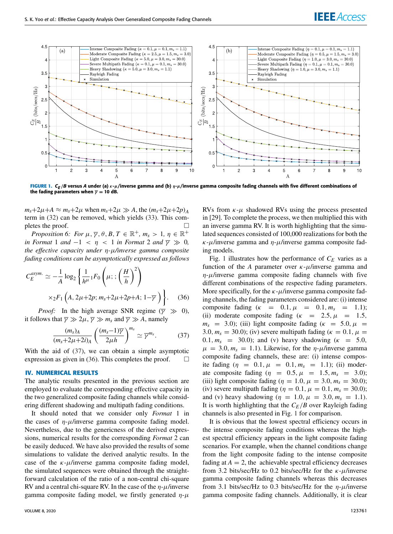

<span id="page-5-2"></span>**FIGURE 1.** C<sub>E</sub>/B versus A under (a) κ-μ/inverse gamma and (b) η-μ/inverse gamma composite fading channels with five different combinations of the fading parameters when  $\overline{y} = 10$  dB.

 $m_s+2\mu+A \approx m_s+2\mu$  when  $m_s+2\mu \gg A$ , the  $(m_s+2\mu+2p)_A$ term in [\(32\)](#page-4-8) can be removed, which yields [\(33\)](#page-4-9). This completes the proof.  $\Box$ 

*Proposition 6: For*  $\mu$ ,  $\overline{\gamma}$ ,  $\theta$ ,  $B$ ,  $T \in \mathbb{R}^+$ ,  $m_s > 1$ ,  $\eta \in \mathbb{R}^+$ *in Format* 1 *and*  $-1 < \eta < 1$  *in Format* 2 *and*  $\overline{\gamma} \gg 0$ , *the effective capacity under* η*-*µ*/inverse gamma composite fading conditions can be asymptotically expressed as follows*

<span id="page-5-1"></span>
$$
C_E^{asym.} \simeq -\frac{1}{A} \log_2 \left\{ \frac{1}{h^{\mu}} {}_1F_0 \left( \mu; \frac{H}{h} \right)^2 \right\}
$$

$$
\times {}_2F_1 \left( A, 2\mu + 2p; m_s + 2\mu + 2p + A; 1 - \overline{\gamma} \right) \bigg\}.
$$
 (36)

*Proof:* In the high average SNR regime ( $\overline{\gamma} \gg 0$ ), it follows that  $\overline{\gamma} \gg 2\mu$ ,  $\overline{\gamma} \gg m_s$  and  $\overline{\gamma} \gg A$ , namely

<span id="page-5-0"></span>
$$
\frac{(m_s)_A}{(m_s+2\mu+2i)_A} \left(\frac{(m_s-1)\overline{\gamma}}{2\mu h}\right)^{m_s} \simeq \overline{\gamma}^{m_s}.
$$
 (37)

With the aid of [\(37\)](#page-5-0), we can obtain a simple asymptotic expression as given in [\(36\)](#page-5-1). This completes the proof.  $\Box$ 

### **IV. NUMERICAL RESULTS**

The analytic results presented in the previous section are employed to evaluate the corresponding effective capacity in the two generalized composite fading channels while considering different shadowing and multipath fading conditions.

It should noted that we consider only *Format* 1 in the cases of  $\eta$ - $\mu$ /inverse gamma composite fading model. Nevertheless, due to the genericness of the derived expressions, numerical results for the corresponding *Format* 2 can be easily deduced. We have also provided the results of some simulations to validate the derived analytic results. In the case of the  $\kappa$ - $\mu$ /inverse gamma composite fading model, the simulated sequences were obtained through the straightforward calculation of the ratio of a non-central chi-square RV and a central chi-square RV. In the case of the  $\eta$ - $\mu$ /inverse gamma composite fading model, we firstly generated  $\eta$ - $\mu$ 

RVs from  $\kappa$ - $\mu$  shadowed RVs using the process presented in [29]. To complete the process, we then multiplied this with an inverse gamma RV. It is worth highlighting that the simulated sequences consisted of 100,000 realizations for both the  $\kappa$ - $\mu$ /inverse gamma and  $\eta$ - $\mu$ /inverse gamma composite fading models.

Fig. [1](#page-5-2) illustrates how the performance of *C<sup>E</sup>* varies as a function of the *A* parameter over  $\kappa$ - $\mu$ /inverse gamma and  $\eta$ - $\mu$ /inverse gamma composite fading channels with five different combinations of the respective fading parameters. More specifically, for the  $\kappa$ - $\mu$ /inverse gamma composite fading channels, the fading parameters considered are: (i) intense composite fading  $(\kappa = 0.1, \mu = 0.1, m_s = 1.1);$ (ii) moderate composite fading ( $\kappa$  = 2.5,  $\mu$  = 1.5,  $m_s$  = 3.0); (iii) light composite fading ( $\kappa$  = 5.0,  $\mu$  = 3.0,  $m_s = 30.0$ ; (iv) severe multipath fading ( $\kappa = 0.1$ ,  $\mu =$ 0.1,  $m_s$  = 30.0); and (v) heavy shadowing ( $\kappa$  = 5.0,  $\mu = 3.0, m_s = 1.1$ ). Likewise, for the  $\eta$ - $\mu$ /inverse gamma composite fading channels, these are: (i) intense composite fading  $(\eta = 0.1, \mu = 0.1, m_s = 1.1)$ ; (ii) moderate composite fading  $(\eta = 0.5, \mu = 1.5, m_s = 3.0);$ (iii) light composite fading ( $\eta = 1.0, \mu = 3.0, m_s = 30.0$ ); (iv) severe multipath fading ( $\eta = 0.1$ ,  $\mu = 0.1$ ,  $m_s = 30.0$ ); and (v) heavy shadowing ( $\eta = 1.0, \mu = 3.0, m_s = 1.1$ ). It is worth highlighting that the *CE*/*B* over Rayleigh fading channels is also presented in Fig. [1](#page-5-2) for comparison.

It is obvious that the lowest spectral efficiency occurs in the intense composite fading conditions whereas the highest spectral efficiency appears in the light composite fading scenarios. For example, when the channel conditions change from the light composite fading to the intense composite fading at  $A = 2$ , the achievable spectral efficiency decreases from 3.2 bits/sec/Hz to 0.2 bits/sec/Hz for the  $\kappa$ - $\mu$ /inverse gamma composite fading channels whereas this decreases from 3.1 bits/sec/Hz to 0.3 bits/sec/Hz for the  $\eta$ - $\mu$ /inverse gamma composite fading channels. Additionally, it is clear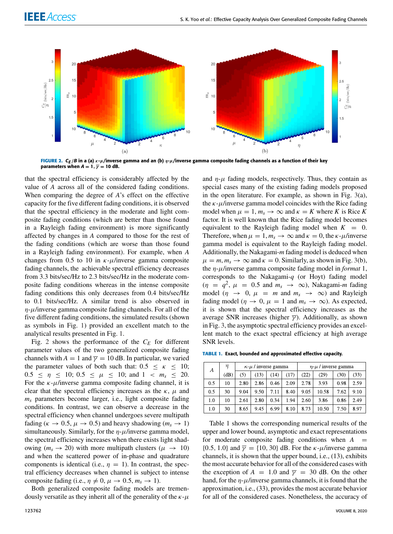

<span id="page-6-0"></span>**FIGURE 2.** C<sub>E /</sub>B in a (a) κ-μ/inverse gamma and an (b) η-μ/inverse gamma composite fading channels as a function of their key parameters when  $A = 1$ ,  $\overline{\gamma} = 10$  dB.

that the spectral efficiency is considerably affected by the value of *A* across all of the considered fading conditions. When comparing the degree of *A*'s effect on the effective capacity for the five different fading conditions, it is observed that the spectral efficiency in the moderate and light composite fading conditions (which are better than those found in a Rayleigh fading environment) is more significantly affected by changes in *A* compared to those for the rest of the fading conditions (which are worse than those found in a Rayleigh fading environment). For example, when *A* changes from 0.5 to 10 in  $\kappa$ - $\mu$ /inverse gamma composite fading channels, the achievable spectral efficiency decreases from 3.3 bits/sec/Hz to 2.3 bits/sec/Hz in the moderate composite fading conditions whereas in the intense composite fading conditions this only decreases from 0.4 bits/sec/Hz to 0.1 bits/sec/Hz. A similar trend is also observed in  $\eta$ - $\mu$ /inverse gamma composite fading channels. For all of the five different fading conditions, the simulated results (shown as symbols in Fig. [1\)](#page-5-2) provided an excellent match to the analytical results presented in Fig. [1.](#page-5-2)

Fig. [2](#page-6-0) shows the performance of the  $C_E$  for different parameter values of the two generalized composite fading channels with  $A = 1$  and  $\overline{\gamma} = 10$  dB. In particular, we varied the parameter values of both such that:  $0.5 \leq \kappa \leq 10$ ;  $0.5 \le \eta \le 10$ ;  $0.5 \le \mu \le 10$ ; and  $1 \le m_s \le 20$ . For the  $\kappa$ - $\mu$ /inverse gamma composite fading channel, it is clear that the spectral efficiency increases as the  $\kappa$ ,  $\mu$  and *m<sup>s</sup>* parameters become larger, i.e., light composite fading conditions. In contrast, we can observe a decrease in the spectral efficiency when channel undergoes severe multipath fading ( $\kappa \to 0.5$ ,  $\mu \to 0.5$ ) and heavy shadowing ( $m_s \to 1$ ) simultaneously. Similarly, for the  $\eta$ - $\mu$ /inverse gamma model, the spectral efficiency increases when there exists light shadowing ( $m_s \rightarrow 20$ ) with more multipath clusters ( $\mu \rightarrow 10$ ) and when the scattered power of in-phase and quadrature components is identical (i.e.,  $\eta = 1$ ). In contrast, the spectral efficiency decreases when channel is subject to intense composite fading (i.e.,  $\eta \neq 0$ ,  $\mu \rightarrow 0.5$ ,  $m_s \rightarrow 1$ ).

Both generalized composite fading models are tremendously versatile as they inherit all of the generality of the  $\kappa$ - $\mu$ 

and  $\eta$ - $\mu$  fading models, respectively. Thus, they contain as special cases many of the existing fading models proposed in the open literature. For example, as shown in Fig. [3\(](#page-7-0)a), the  $\kappa$ - $\mu$ /inverse gamma model coincides with the Rice fading model when  $\mu = 1$ ,  $m_s \to \infty$  and  $\kappa = K$  where *K* is Rice *K* factor. It is well known that the Rice fading model becomes equivalent to the Rayleigh fading model when  $K = 0$ . Therefore, when  $\mu = 1$ ,  $m_s \to \infty$  and  $\kappa = 0$ , the  $\kappa$ - $\mu$ /inverse gamma model is equivalent to the Rayleigh fading model. Additionally, the Nakagami-*m* fading model is deduced when  $\mu = m, m_s \rightarrow \infty$  and  $\kappa = 0$ . Similarly, as shown in Fig. [3\(](#page-7-0)b), the η-µ/inverse gamma composite fading model in *format* 1, corresponds to the Nakagami-*q* (or Hoyt) fading model  $(\eta = q^2, \mu = 0.5 \text{ and } m_s \rightarrow \infty)$ , Nakagami-*m* fading model ( $\eta \rightarrow 0$ ,  $\mu = m$  and  $m_s \rightarrow \infty$ ) and Rayleigh fading model ( $\eta \rightarrow 0$ ,  $\mu = 1$  and  $m_s \rightarrow \infty$ ). As expected, it is shown that the spectral efficiency increases as the average SNR increases (higher  $\bar{\gamma}$ ). Additionally, as shown in Fig. [3,](#page-7-0) the asymptotic spectral efficiency provides an excellent match to the exact spectral efficiency at high average SNR levels.

**TABLE 1.** Exact, bounded and approximated effective capacity.

| А   | $\overline{\gamma}$ | $\kappa$ - $\mu$ / inverse gamma |      |      |      | $\eta$ - $\mu$ / inverse gamma |       |      |      |
|-----|---------------------|----------------------------------|------|------|------|--------------------------------|-------|------|------|
|     | (dB)                | (5)                              | (13) | (14) | (17) | (22)                           | (29)  | (30) | (33) |
| 0.5 | 10                  | 2.80                             | 2.86 | 0.46 | 2.09 | 2.78                           | 3.93  | 0.98 | 2.59 |
| 0.5 | 30                  | 9.04                             | 9.50 | 7.11 | 8.40 | 9.05                           | 10.58 | 7.62 | 9.10 |
| 1.0 | 10                  | 2.61                             | 2.80 | 0.34 | 1.94 | 2.60                           | 3.86  | 0.86 | 2.49 |
| 1.0 | 30                  | 8.65                             | 9.45 | 6.99 | 8.10 | 8.73                           | 10.50 | 7.50 | 8.97 |

Table 1 shows the corresponding numerical results of the upper and lower bound, asymptotic and exact representations for moderate composite fading conditions when  $A =$ {0.5, 1.0} and  $\overline{\gamma}$  = {10, 30} dB. For the *κ*- $\mu$ /inverse gamma channels, it is shown that the upper bound, i.e., (13), exhibits the most accurate behavior for all of the considered cases with the exception of  $A = 1.0$  and  $\overline{\gamma} = 30$  dB. On the other hand, for the  $\eta$ - $\mu$ /inverse gamma channels, it is found that the approximation, i.e., (33), provides the most accurate behavior for all of the considered cases. Nonetheless, the accuracy of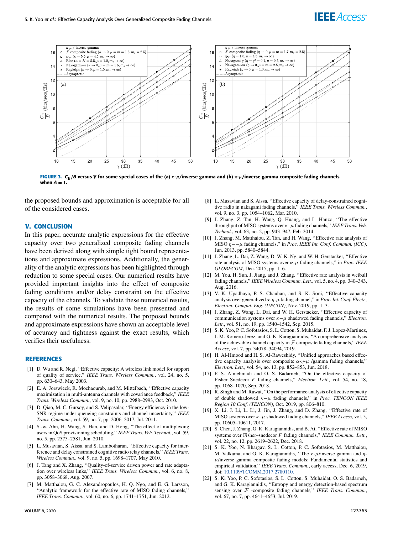

<span id="page-7-0"></span>FIGURE 3. C<sub>E</sub> /B versus ⊽ for some special cases of the (a) *κ-μ/*inverse gamma and (b) η-μ/inverse gamma composite fading channels when  $A = 1$ .

the proposed bounds and approximation is acceptable for all of the considered cases.

## **V. CONCLUSION**

In this paper, accurate analytic expressions for the effective capacity over two generalized composite fading channels have been derived along with simple tight bound representations and approximate expressions. Additionally, the generality of the analytic expressions has been highlighted through reduction to some special cases. Our numerical results have provided important insights into the effect of composite fading conditions and/or delay constraint on the effective capacity of the channels. To validate these numerical results, the results of some simulations have been presented and compared with the numerical results. The proposed bounds and approximate expressions have shown an acceptable level of accuracy and tightness against the exact results, which verifies their usefulness.

#### **REFERENCES**

- [1] D. Wu and R. Negi, ''Effective capacity: A wireless link model for support of quality of service,'' *IEEE Trans. Wireless Commun.*, vol. 24, no. 5, pp. 630–643, May 2003.
- [2] E. A. Jorswieck, R. Mochaourab, and M. Mittelbach, "Effective capacity maximization in multi-antenna channels with covariance feedback,'' *IEEE Trans. Wireless Commun.*, vol. 9, no. 10, pp. 2988–2993, Oct. 2010.
- [3] D. Qiao, M. C. Gursoy, and S. Velipasalar, "Energy efficiency in the low-SNR regime under queueing constraints and channel uncertainty,'' *IEEE Trans. Commun.*, vol. 59, no. 7, pp. 2006–2017, Jul. 2011.
- [4] S.-w. Ahn, H. Wang, S. Han, and D. Hong, ''The effect of multiplexing users in QoS provisioning scheduling,'' *IEEE Trans. Veh. Technol.*, vol. 59, no. 5, pp. 2575–2581, Jun. 2010.
- [5] L. Musavian, S. Aissa, and S. Lambotharan, ''Effective capacity for interference and delay constrained cognitive radio relay channels,'' *IEEE Trans. Wireless Commun.*, vol. 9, no. 5, pp. 1698–1707, May 2010.
- [6] J. Tang and X. Zhang, ''Quality-of-service driven power and rate adaptation over wireless links,'' *IEEE Trans. Wireless Commun.*, vol. 6, no. 8, pp. 3058–3068, Aug. 2007.
- [7] M. Matthaiou, G. C. Alexandropoulos, H. Q. Ngo, and E. G. Larsson, ''Analytic framework for the effective rate of MISO fading channels,'' *IEEE Trans. Commun.*, vol. 60, no. 6, pp. 1741–1751, Jun. 2012.
- [8] L. Musavian and S. Aissa, ''Effective capacity of delay-constrained cognitive radio in nakagami fading channels,'' *IEEE Trans. Wireless Commun.*, vol. 9, no. 3, pp. 1054–1062, Mar. 2010.
- [9] J. Zhang, Z. Tan, H. Wang, Q. Huang, and L. Hanzo, ''The effective throughput of MISO systems over  $\kappa-\mu$  fading channels," *IEEE Trans. Veh. Technol.*, vol. 63, no. 2, pp. 943–947, Feb. 2014.
- [10] J. Zhang, M. Matthaiou, Z. Tan, and H. Wang, ''Effective rate analysis of MISO η−−µ fading channels,'' in *Proc. IEEE Int. Conf. Commun. (ICC)*, Jun. 2013, pp. 5840–5844.
- [11] J. Zhang, L. Dai, Z. Wang, D. W. K. Ng, and W. H. Gerstacker, "Effective rate analysis of MISO systems over α-µ fading channels,'' in *Proc. IEEE GLOBECOM*, Dec. 2015, pp. 1–6.
- [12] M. You, H. Sun, J. Jiang, and J. Zhang, "Effective rate analysis in weibull fading channels,'' *IEEE Wireless Commun. Lett.*, vol. 5, no. 4, pp. 340–343, Aug. 2016.
- [13] V. K. Upadhaya, P. S. Chauhan, and S. K. Soni, "Effective capacity analysis over generalized α-η-µfading channel,'' in *Proc. Int. Conf. Electr., Electron. Comput. Eng. (UPCON)*, Nov. 2019, pp. 1–3.
- [14] J. Zhang, Z. Wang, L. Dai, and W. H. Gerstacker, "Effective capacity of communication systems over κ−µ shadowed fading channels,'' *Electron. Lett.*, vol. 51, no. 19, pp. 1540–1542, Sep. 2015.
- [15] S. K. Yoo, P. C. Sofotasios, S. L. Cotton, S. Muhaidat, F. J. Lopez-Martinez, J. M. Romero-Jerez, and G. K. Karagiannidis, ''A comprehensive analysis of the achievable channel capacity in  $F$  composite fading channels," *IEEE Access*, vol. 7, pp. 34078–34094, 2019.
- [16] H. Al-Hmood and H. S. Al-Raweshidy, "Unified approaches based effective capacity analysis over composite  $α$ -η- $μ$  /gamma fading channels," *Electron. Lett.*, vol. 54, no. 13, pp. 852–853, Jun. 2018.
- [17] F. S. Almehmadi and O. S. Badarneh, ''On the effective capacity of Fisher–Snedecor *F* fading channels,'' *Electron. Lett.*, vol. 54, no. 18, pp. 1068–1070, Sep. 2018.
- [18] R. Singh and M. Rawat, "On the performance analysis of effective capacity of double shadowed κ−µ fading channels,'' in *Proc. TENCON IEEE Region 10 Conf. (TENCON)*, Oct. 2019, pp. 806–810.
- [19] X. Li, J. Li, L. Li, J. Jin, J. Zhang, and D. Zhang, "Effective rate of MISO systems over  $\kappa-\mu$  shadowed fading channels," *IEEE Access*, vol. 5, pp. 10605–10611, 2017.
- [20] S. Chen, J. Zhang, G. K. Karagiannidis, and B. Ai, "Effective rate of MISO" systems over Fisher–snedecor *F* fading channels,'' *IEEE Commun. Lett.*, vol. 22, no. 12, pp. 2619–2622, Dec. 2018.
- [21] S. K. Yoo, N. Bhargav, S. L. Cotton, P. C. Sofotasios, M. Matthaiou, M. Valkama, and G. K. Karagiannidis, "The  $\kappa$ - $\mu$ /inverse gamma and  $\eta$ - $\mu$ /inverse gamma composite fading models: Fundamental statistics and empirical validation,'' *IEEE Trans. Commun.*, early access, Dec. 6, 2019, doi: [10.1109/TCOMM.2017.2780110.](http://dx.doi.org/10.1109/TCOMM.2017.2780110)
- [22] S. Ki Yoo, P. C. Sofotasios, S. L. Cotton, S. Muhaidat, O. S. Badarneh, and G. K. Karagiannidis, ''Entropy and energy detection-based spectrum sensing over  $\overline{\mathcal{F}}$  -composite fading channels," IEEE Trans. Commun., vol. 67, no. 7, pp. 4641–4653, Jul. 2019.